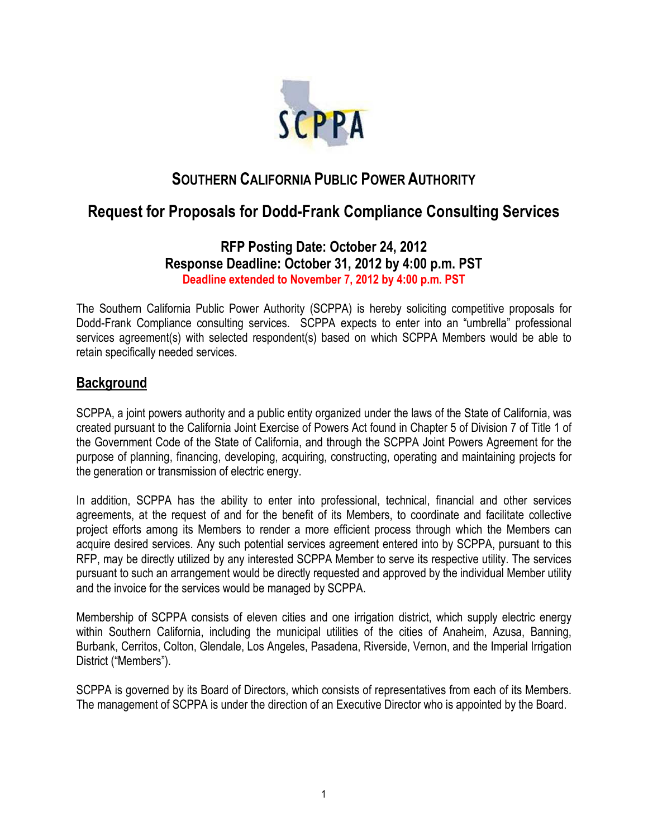

# **SOUTHERN CALIFORNIA PUBLIC POWER AUTHORITY**

# **Request for Proposals for Dodd-Frank Compliance Consulting Services**

### **RFP Posting Date: October 24, 2012 Response Deadline: October 31, 2012 by 4:00 p.m. PST Deadline extended to November 7, 2012 by 4:00 p.m. PST**

The Southern California Public Power Authority (SCPPA) is hereby soliciting competitive proposals for Dodd-Frank Compliance consulting services. SCPPA expects to enter into an "umbrella" professional services agreement(s) with selected respondent(s) based on which SCPPA Members would be able to retain specifically needed services.

## **Background**

SCPPA, a joint powers authority and a public entity organized under the laws of the State of California, was created pursuant to the California Joint Exercise of Powers Act found in Chapter 5 of Division 7 of Title 1 of the Government Code of the State of California, and through the SCPPA Joint Powers Agreement for the purpose of planning, financing, developing, acquiring, constructing, operating and maintaining projects for the generation or transmission of electric energy.

In addition, SCPPA has the ability to enter into professional, technical, financial and other services agreements, at the request of and for the benefit of its Members, to coordinate and facilitate collective project efforts among its Members to render a more efficient process through which the Members can acquire desired services. Any such potential services agreement entered into by SCPPA, pursuant to this RFP, may be directly utilized by any interested SCPPA Member to serve its respective utility. The services pursuant to such an arrangement would be directly requested and approved by the individual Member utility and the invoice for the services would be managed by SCPPA.

Membership of SCPPA consists of eleven cities and one irrigation district, which supply electric energy within Southern California, including the municipal utilities of the cities of Anaheim, Azusa, Banning, Burbank, Cerritos, Colton, Glendale, Los Angeles, Pasadena, Riverside, Vernon, and the Imperial Irrigation District ("Members").

SCPPA is governed by its Board of Directors, which consists of representatives from each of its Members. The management of SCPPA is under the direction of an Executive Director who is appointed by the Board.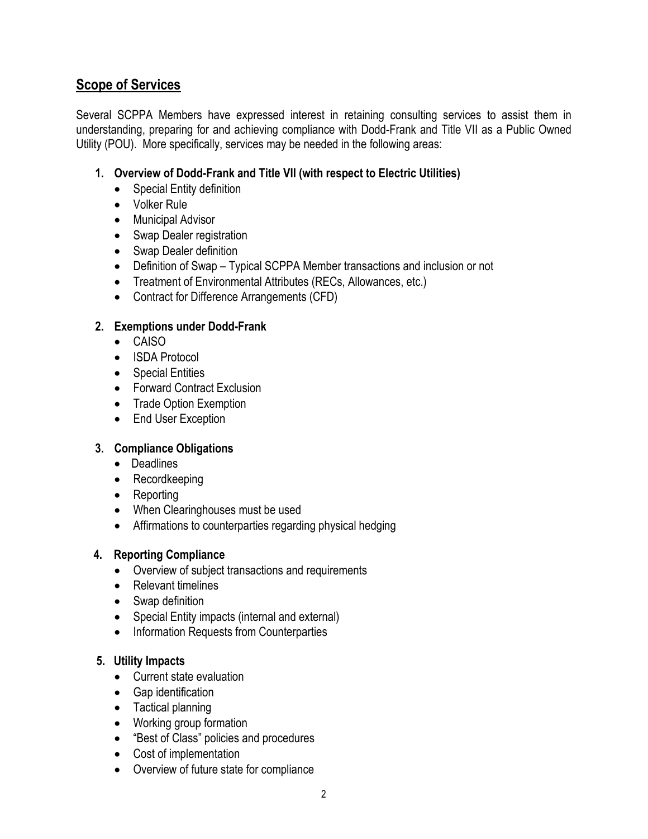## **Scope of Services**

Several SCPPA Members have expressed interest in retaining consulting services to assist them in understanding, preparing for and achieving compliance with Dodd-Frank and Title VII as a Public Owned Utility (POU). More specifically, services may be needed in the following areas:

#### **1. Overview of Dodd-Frank and Title VII (with respect to Electric Utilities)**

- Special Entity definition
- Volker Rule
- Municipal Advisor
- Swap Dealer registration
- Swap Dealer definition
- Definition of Swap Typical SCPPA Member transactions and inclusion or not
- Treatment of Environmental Attributes (RECs, Allowances, etc.)
- Contract for Difference Arrangements (CFD)

#### **2. Exemptions under Dodd-Frank**

- CAISO
- ISDA Protocol
- Special Entities
- Forward Contract Exclusion
- Trade Option Exemption
- End User Exception

#### **3. Compliance Obligations**

- Deadlines
- Recordkeeping
- Reporting
- When Clearinghouses must be used
- Affirmations to counterparties regarding physical hedging

#### **4. Reporting Compliance**

- Overview of subject transactions and requirements
- Relevant timelines
- Swap definition
- Special Entity impacts (internal and external)
- Information Requests from Counterparties

#### **5. Utility Impacts**

- Current state evaluation
- Gap identification
- Tactical planning
- Working group formation
- "Best of Class" policies and procedures
- Cost of implementation
- Overview of future state for compliance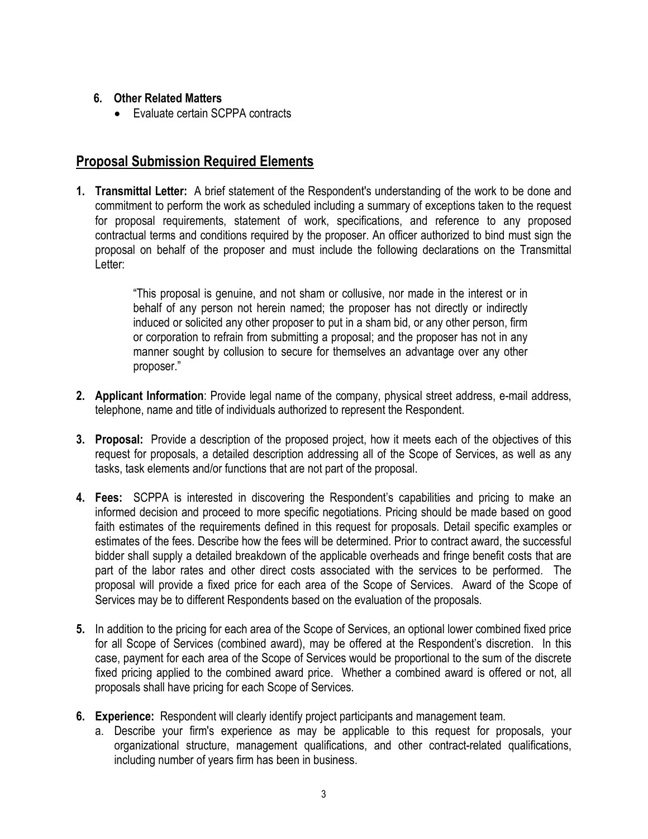#### **6. Other Related Matters**

• Evaluate certain SCPPA contracts

# **Proposal Submission Required Elements**

**1. Transmittal Letter:** A brief statement of the Respondent's understanding of the work to be done and commitment to perform the work as scheduled including a summary of exceptions taken to the request for proposal requirements, statement of work, specifications, and reference to any proposed contractual terms and conditions required by the proposer. An officer authorized to bind must sign the proposal on behalf of the proposer and must include the following declarations on the Transmittal Letter:

> "This proposal is genuine, and not sham or collusive, nor made in the interest or in behalf of any person not herein named; the proposer has not directly or indirectly induced or solicited any other proposer to put in a sham bid, or any other person, firm or corporation to refrain from submitting a proposal; and the proposer has not in any manner sought by collusion to secure for themselves an advantage over any other proposer."

- **2. Applicant Information**: Provide legal name of the company, physical street address, e-mail address, telephone, name and title of individuals authorized to represent the Respondent.
- **3. Proposal:** Provide a description of the proposed project, how it meets each of the objectives of this request for proposals, a detailed description addressing all of the Scope of Services, as well as any tasks, task elements and/or functions that are not part of the proposal.
- **4. Fees:** SCPPA is interested in discovering the Respondent's capabilities and pricing to make an informed decision and proceed to more specific negotiations. Pricing should be made based on good faith estimates of the requirements defined in this request for proposals. Detail specific examples or estimates of the fees. Describe how the fees will be determined. Prior to contract award, the successful bidder shall supply a detailed breakdown of the applicable overheads and fringe benefit costs that are part of the labor rates and other direct costs associated with the services to be performed. The proposal will provide a fixed price for each area of the Scope of Services. Award of the Scope of Services may be to different Respondents based on the evaluation of the proposals.
- **5.** In addition to the pricing for each area of the Scope of Services, an optional lower combined fixed price for all Scope of Services (combined award), may be offered at the Respondent's discretion. In this case, payment for each area of the Scope of Services would be proportional to the sum of the discrete fixed pricing applied to the combined award price. Whether a combined award is offered or not, all proposals shall have pricing for each Scope of Services.
- **6. Experience:** Respondent will clearly identify project participants and management team.
	- a. Describe your firm's experience as may be applicable to this request for proposals, your organizational structure, management qualifications, and other contract-related qualifications, including number of years firm has been in business.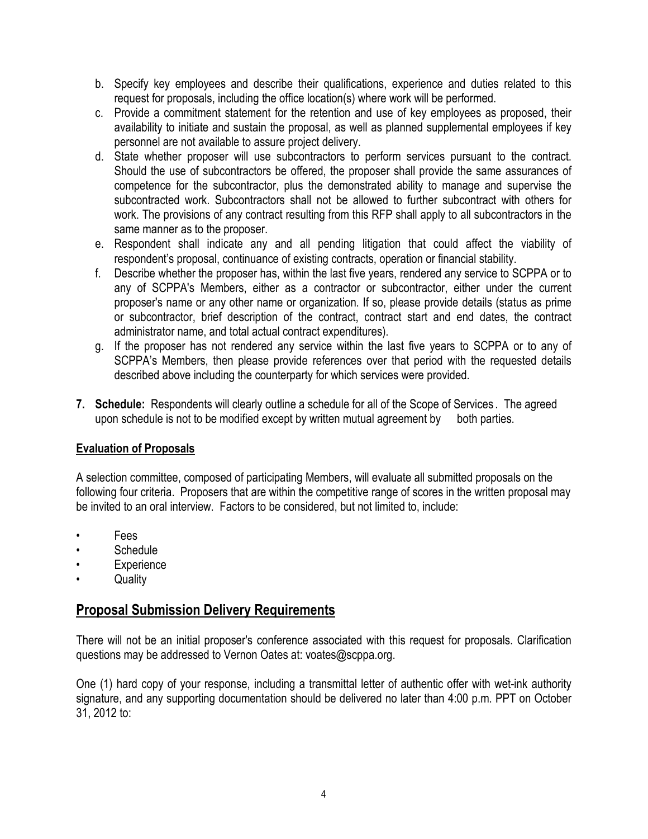- b. Specify key employees and describe their qualifications, experience and duties related to this request for proposals, including the office location(s) where work will be performed.
- c. Provide a commitment statement for the retention and use of key employees as proposed, their availability to initiate and sustain the proposal, as well as planned supplemental employees if key personnel are not available to assure project delivery.
- d. State whether proposer will use subcontractors to perform services pursuant to the contract. Should the use of subcontractors be offered, the proposer shall provide the same assurances of competence for the subcontractor, plus the demonstrated ability to manage and supervise the subcontracted work. Subcontractors shall not be allowed to further subcontract with others for work. The provisions of any contract resulting from this RFP shall apply to all subcontractors in the same manner as to the proposer.
- e. Respondent shall indicate any and all pending litigation that could affect the viability of respondent's proposal, continuance of existing contracts, operation or financial stability.
- f. Describe whether the proposer has, within the last five years, rendered any service to SCPPA or to any of SCPPA's Members, either as a contractor or subcontractor, either under the current proposer's name or any other name or organization. If so, please provide details (status as prime or subcontractor, brief description of the contract, contract start and end dates, the contract administrator name, and total actual contract expenditures).
- g. If the proposer has not rendered any service within the last five years to SCPPA or to any of SCPPA's Members, then please provide references over that period with the requested details described above including the counterparty for which services were provided.
- **7. Schedule:** Respondents will clearly outline a schedule for all of the Scope of Services . The agreed upon schedule is not to be modified except by written mutual agreement by both parties.

#### **Evaluation of Proposals**

A selection committee, composed of participating Members, will evaluate all submitted proposals on the following four criteria. Proposers that are within the competitive range of scores in the written proposal may be invited to an oral interview. Factors to be considered, but not limited to, include:

- Fees
- Schedule
- **Experience**
- Quality

### **Proposal Submission Delivery Requirements**

There will not be an initial proposer's conference associated with this request for proposals. Clarification questions may be addressed to Vernon Oates at: voates@scppa.org.

One (1) hard copy of your response, including a transmittal letter of authentic offer with wet-ink authority signature, and any supporting documentation should be delivered no later than 4:00 p.m. PPT on October 31, 2012 to: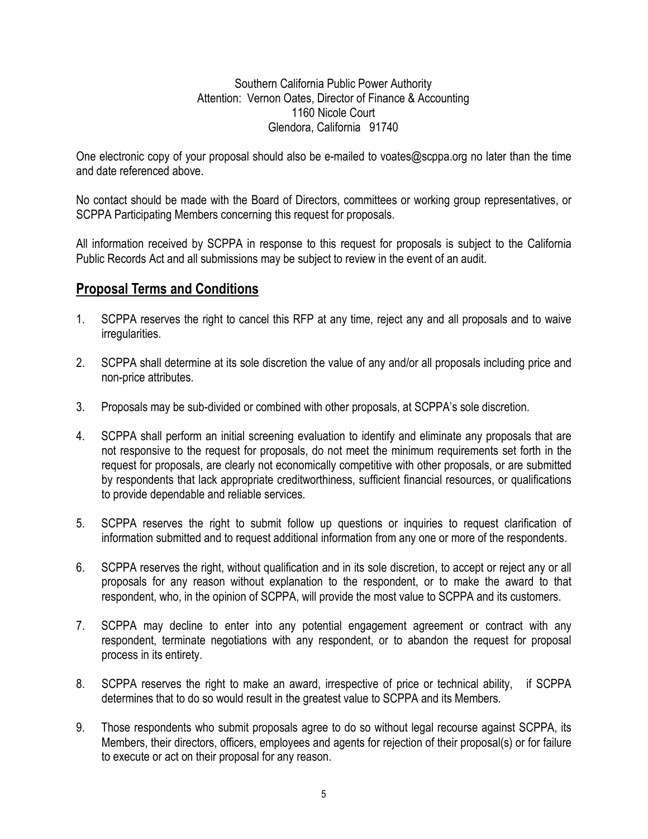Southern California Public Power Authority Attention: Vernon Oates, Director of Finance & Accounting 1160 Nicole Court Glendora, California 91740

One electronic copy of your proposal should also be e-mailed to voates@scppa.org no later than the time and date referenced above.

No contact should be made with the Board of Directors, committees or working group representatives, or SCPPA Participating Members concerning this request for proposals.

All information received by SCPPA in response to this request for proposals is subject to the California Public Records Act and all submissions may be subject to review in the event of an audit.

### **Proposal Terms and Conditions**

- 1. SCPPA reserves the right to cancel this RFP at any time, reject any and all proposals and to waive irregularities.
- 2. SCPPA shall determine at its sole discretion the value of any and/or all proposals including price and non-price attributes.
- 3. Proposals may be sub-divided or combined with other proposals, at SCPPA's sole discretion.
- 4. SCPPA shall perform an initial screening evaluation to identify and eliminate any proposals that are not responsive to the request for proposals, do not meet the minimum requirements set forth in the request for proposals, are clearly not economically competitive with other proposals, or are submitted by respondents that lack appropriate creditworthiness, sufficient financial resources, or qualifications to provide dependable and reliable services.
- 5. SCPPA reserves the right to submit follow up questions or inquiries to request clarification of information submitted and to request additional information from any one or more of the respondents.
- 6. SCPPA reserves the right, without qualification and in its sole discretion, to accept or reject any or all proposals for any reason without explanation to the respondent, or to make the award to that respondent, who, in the opinion of SCPPA, will provide the most value to SCPPA and its customers.
- 7. SCPPA may decline to enter into any potential engagement agreement or contract with any respondent, terminate negotiations with any respondent, or to abandon the request for proposal process in its entirety.
- 8. SCPPA reserves the right to make an award, irrespective of price or technical ability, if SCPPA determines that to do so would result in the greatest value to SCPPA and its Members.
- 9. Those respondents who submit proposals agree to do so without legal recourse against SCPPA, its Members, their directors, officers, employees and agents for rejection of their proposal(s) or for failure to execute or act on their proposal for any reason.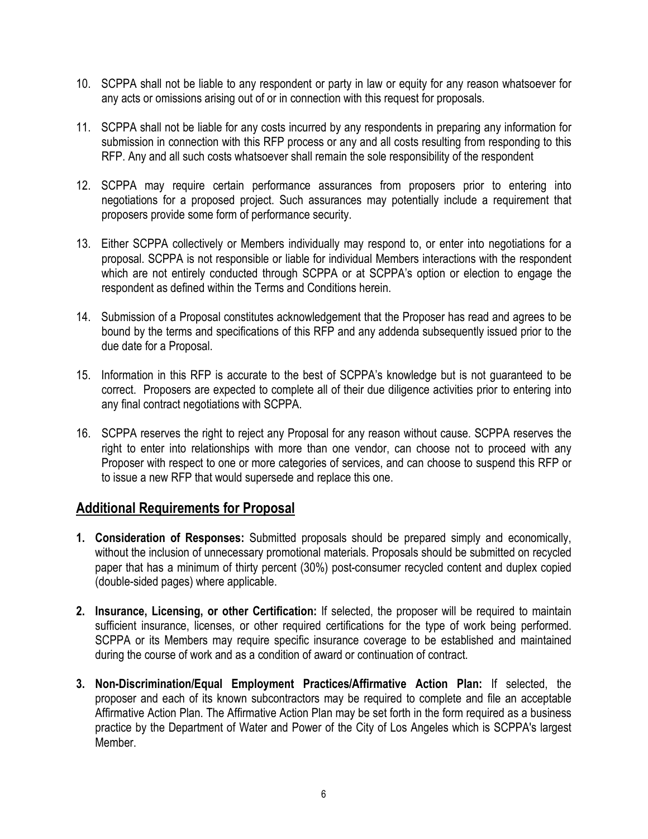- 10. SCPPA shall not be liable to any respondent or party in law or equity for any reason whatsoever for any acts or omissions arising out of or in connection with this request for proposals.
- 11. SCPPA shall not be liable for any costs incurred by any respondents in preparing any information for submission in connection with this RFP process or any and all costs resulting from responding to this RFP. Any and all such costs whatsoever shall remain the sole responsibility of the respondent
- 12. SCPPA may require certain performance assurances from proposers prior to entering into negotiations for a proposed project. Such assurances may potentially include a requirement that proposers provide some form of performance security.
- 13. Either SCPPA collectively or Members individually may respond to, or enter into negotiations for a proposal. SCPPA is not responsible or liable for individual Members interactions with the respondent which are not entirely conducted through SCPPA or at SCPPA's option or election to engage the respondent as defined within the Terms and Conditions herein.
- 14. Submission of a Proposal constitutes acknowledgement that the Proposer has read and agrees to be bound by the terms and specifications of this RFP and any addenda subsequently issued prior to the due date for a Proposal.
- 15. Information in this RFP is accurate to the best of SCPPA's knowledge but is not guaranteed to be correct. Proposers are expected to complete all of their due diligence activities prior to entering into any final contract negotiations with SCPPA.
- 16. SCPPA reserves the right to reject any Proposal for any reason without cause. SCPPA reserves the right to enter into relationships with more than one vendor, can choose not to proceed with any Proposer with respect to one or more categories of services, and can choose to suspend this RFP or to issue a new RFP that would supersede and replace this one.

### **Additional Requirements for Proposal**

- **1. Consideration of Responses:** Submitted proposals should be prepared simply and economically, without the inclusion of unnecessary promotional materials. Proposals should be submitted on recycled paper that has a minimum of thirty percent (30%) post-consumer recycled content and duplex copied (double-sided pages) where applicable.
- **2. Insurance, Licensing, or other Certification:** If selected, the proposer will be required to maintain sufficient insurance, licenses, or other required certifications for the type of work being performed. SCPPA or its Members may require specific insurance coverage to be established and maintained during the course of work and as a condition of award or continuation of contract.
- **3. Non-Discrimination/Equal Employment Practices/Affirmative Action Plan:** If selected, the proposer and each of its known subcontractors may be required to complete and file an acceptable Affirmative Action Plan. The Affirmative Action Plan may be set forth in the form required as a business practice by the Department of Water and Power of the City of Los Angeles which is SCPPA's largest Member.